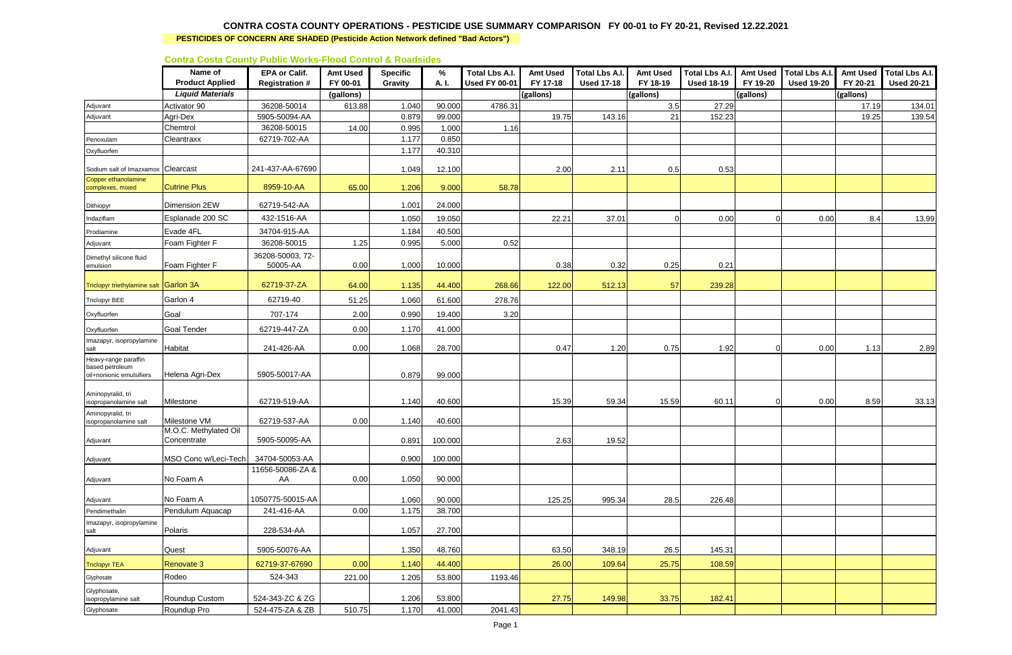|                                                                     |                                   | 000 <b>000000</b> - 0000 - 0000 - 0000        |                             |                                   |            |                                               |                             |                                            |                             |                                            |                             |                                            |                             |                                            |
|---------------------------------------------------------------------|-----------------------------------|-----------------------------------------------|-----------------------------|-----------------------------------|------------|-----------------------------------------------|-----------------------------|--------------------------------------------|-----------------------------|--------------------------------------------|-----------------------------|--------------------------------------------|-----------------------------|--------------------------------------------|
|                                                                     | Name of<br><b>Product Applied</b> | <b>EPA or Calif.</b><br><b>Registration #</b> | <b>Amt Used</b><br>FY 00-01 | <b>Specific</b><br><b>Gravity</b> | %<br>A. I. | <b>Total Lbs A.I.</b><br><b>Used FY 00-01</b> | <b>Amt Used</b><br>FY 17-18 | <b>Total Lbs A.I.</b><br><b>Used 17-18</b> | <b>Amt Used</b><br>FY 18-19 | <b>Total Lbs A.I.</b><br><b>Used 18-19</b> | <b>Amt Used</b><br>FY 19-20 | <b>Total Lbs A.I.</b><br><b>Used 19-20</b> | <b>Amt Used</b><br>FY 20-21 | <b>Total Lbs A.I.</b><br><b>Used 20-21</b> |
|                                                                     | <b>Liquid Materials</b>           |                                               | (gallons)                   |                                   |            |                                               | (gallons)                   |                                            | (gallons)                   |                                            | (gallons)                   |                                            | (gallons)                   |                                            |
| Adjuvant                                                            | Activator 90                      | 36208-50014                                   | 613.88                      | 1.040                             | 90.000     | 4786.31                                       |                             |                                            | 3.5                         | 27.29                                      |                             |                                            | 17.19                       | 134.01                                     |
| Adjuvant                                                            | Agri-Dex                          | 5905-50094-AA                                 |                             | 0.879                             | 99.000     |                                               | 19.75                       | 143.16                                     | 21                          | 152.23                                     |                             |                                            | 19.25                       | 139.54                                     |
|                                                                     | Chemtrol                          | 36208-50015                                   | 14.00                       | 0.995                             | 1.000      | 1.16                                          |                             |                                            |                             |                                            |                             |                                            |                             |                                            |
| Penoxulam                                                           | Cleantraxx                        | 62719-702-AA                                  |                             | 1.177                             | 0.850      |                                               |                             |                                            |                             |                                            |                             |                                            |                             |                                            |
| Oxyfluorfen                                                         |                                   |                                               |                             | 1.177                             | 40.310     |                                               |                             |                                            |                             |                                            |                             |                                            |                             |                                            |
| Sodium salt of Imazxamo:                                            | Clearcast                         | 241-437-AA-67690                              |                             | 1.049                             | 12.100     |                                               | 2.00                        | 2.11                                       | 0.5                         | 0.53                                       |                             |                                            |                             |                                            |
| Copper ethanolamine<br>complexes, mixed                             | <b>Cutrine Plus</b>               | 8959-10-AA                                    | 65.00                       | 1.206                             | 9.000      | 58.78                                         |                             |                                            |                             |                                            |                             |                                            |                             |                                            |
| Dithiopyr                                                           | Dimension 2EW                     | 62719-542-AA                                  |                             | 1.001                             | 24.000     |                                               |                             |                                            |                             |                                            |                             |                                            |                             |                                            |
| Indaziflam                                                          | Esplanade 200 SC                  | 432-1516-AA                                   |                             | 1.050                             | 19.050     |                                               | 22.21                       | 37.01                                      | $\overline{0}$              | 0.00                                       |                             | 0.00                                       | 8.4                         | 13.99                                      |
| Prodiamine                                                          | Evade 4FL                         | 34704-915-AA                                  |                             | 1.184                             | 40.500     |                                               |                             |                                            |                             |                                            |                             |                                            |                             |                                            |
| Adjuvant                                                            | Foam Fighter F                    | 36208-50015                                   | 1.25                        | 0.995                             | 5.000      | 0.52                                          |                             |                                            |                             |                                            |                             |                                            |                             |                                            |
| Dimethyl silicone fluid<br>emulsion                                 | Foam Fighter F                    | 36208-50003, 72-<br>50005-AA                  | 0.00                        | 1.000                             | 10.000     |                                               | 0.38                        | 0.32                                       | 0.25                        | 0.21                                       |                             |                                            |                             |                                            |
| Triclopyr triethylamine salt                                        | Garlon 3A                         | 62719-37-ZA                                   | 64.00                       | 1.135                             | 44.400     | 268.66                                        | 122.00                      | 512.13                                     | 57                          | 239.28                                     |                             |                                            |                             |                                            |
| <b>Triclopyr BEE</b>                                                | Garlon 4                          | 62719-40                                      | 51.25                       | 1.060                             | 61.600     | 278.76                                        |                             |                                            |                             |                                            |                             |                                            |                             |                                            |
| Oxyfluorfen                                                         | Goal                              | 707-174                                       | 2.00                        | 0.990                             | 19.400     | 3.20                                          |                             |                                            |                             |                                            |                             |                                            |                             |                                            |
|                                                                     |                                   |                                               |                             |                                   |            |                                               |                             |                                            |                             |                                            |                             |                                            |                             |                                            |
| Oxyfluorfen                                                         | <b>Goal Tender</b>                | 62719-447-ZA                                  | 0.00                        | 1.170                             | 41.000     |                                               |                             |                                            |                             |                                            |                             |                                            |                             |                                            |
| Imazapyr, isopropylamine<br>salt                                    | Habitat                           | 241-426-AA                                    | 0.00                        | 1.068                             | 28.700     |                                               | 0.47                        | 1.20                                       | 0.75                        | 1.92                                       |                             | 0.00                                       | 1.13                        | 2.89                                       |
| Heavy-range paraffin<br>based petroleum<br>oil+nonionic emulsifiers | Helena Agri-Dex                   | 5905-50017-AA                                 |                             | 0.879                             | 99.000     |                                               |                             |                                            |                             |                                            |                             |                                            |                             |                                            |
| Aminopyralid, tri<br>isopropanolamine salt                          | Milestone                         | 62719-519-AA                                  |                             | 1.140                             | 40.600     |                                               | 15.39                       | 59.34                                      | 15.59                       | 60.11                                      |                             | 0.00                                       | 8.59                        | 33.13                                      |
| Aminopyralid, tri<br>isopropanolamine salt                          | Milestone VM                      | 62719-537-AA                                  | 0.00                        | 1.140                             | 40.600     |                                               |                             |                                            |                             |                                            |                             |                                            |                             |                                            |
|                                                                     | M.O.C. Methylated Oil             |                                               |                             |                                   |            |                                               |                             |                                            |                             |                                            |                             |                                            |                             |                                            |
| Adjuvant                                                            | Concentrate                       | 5905-50095-AA                                 |                             | 0.891                             | 100.000    |                                               | 2.63                        | 19.52                                      |                             |                                            |                             |                                            |                             |                                            |
| Adjuvant                                                            | MSO Conc w/Leci-Tech              | 34704-50053-AA                                |                             | 0.900                             | 100.000    |                                               |                             |                                            |                             |                                            |                             |                                            |                             |                                            |
|                                                                     |                                   | 11656-50086-ZA &                              |                             |                                   |            |                                               |                             |                                            |                             |                                            |                             |                                            |                             |                                            |
| Adjuvant                                                            | No Foam A                         | AA                                            | 0.00                        | 1.050                             | 90.000     |                                               |                             |                                            |                             |                                            |                             |                                            |                             |                                            |
| Adjuvant                                                            | No Foam A                         | 1050775-50015-AA                              |                             | 1.060                             | 90.000     |                                               | 125.25                      | 995.34                                     | 28.5                        | 226.48                                     |                             |                                            |                             |                                            |
| Pendimethalin                                                       | Pendulum Aquacap                  | 241-416-AA                                    | 0.00                        | 1.175                             | 38.700     |                                               |                             |                                            |                             |                                            |                             |                                            |                             |                                            |
| Imazapyr, isopropylamine<br>salt                                    | Polaris                           | 228-534-AA                                    |                             | 1.057                             | 27.700     |                                               |                             |                                            |                             |                                            |                             |                                            |                             |                                            |
| Adjuvant                                                            | Quest                             | 5905-50076-AA                                 |                             | 1.350                             | 48.760     |                                               | 63.50                       | 348.19                                     | 26.5                        | 145.31                                     |                             |                                            |                             |                                            |
| <b>Triclopyr TEA</b>                                                | Renovate 3                        | 62719-37-67690                                | 0.00                        | 1.140                             | 44.400     |                                               | 26.00                       | 109.64                                     | 25.75                       | 108.59                                     |                             |                                            |                             |                                            |
| Glyphosate                                                          | Rodeo                             | 524-343                                       | 221.00                      | 1.205                             | 53.800     | 1193.46                                       |                             |                                            |                             |                                            |                             |                                            |                             |                                            |
| Glyphosate,<br>isopropylamine salt                                  | Roundup Custom                    | 524-343-ZC & ZG                               |                             | 1.206                             | 53.800     |                                               | 27.75                       | 149.98                                     | 33.75                       | 182.41                                     |                             |                                            |                             |                                            |
| Glyphosate                                                          | Roundup Pro                       | 524-475-ZA & ZB                               | 510.75                      | 1.170                             | 41.000     | 2041.43                                       |                             |                                            |                             |                                            |                             |                                            |                             |                                            |
|                                                                     |                                   |                                               |                             |                                   |            |                                               |                             |                                            |                             |                                            |                             |                                            |                             |                                            |

#### **PESTICIDES OF CONCERN ARE SHADED (Pesticide Action Network defined "Bad Actors")**

#### **Contra Costa County Public Works-Flood Control & Roadsides**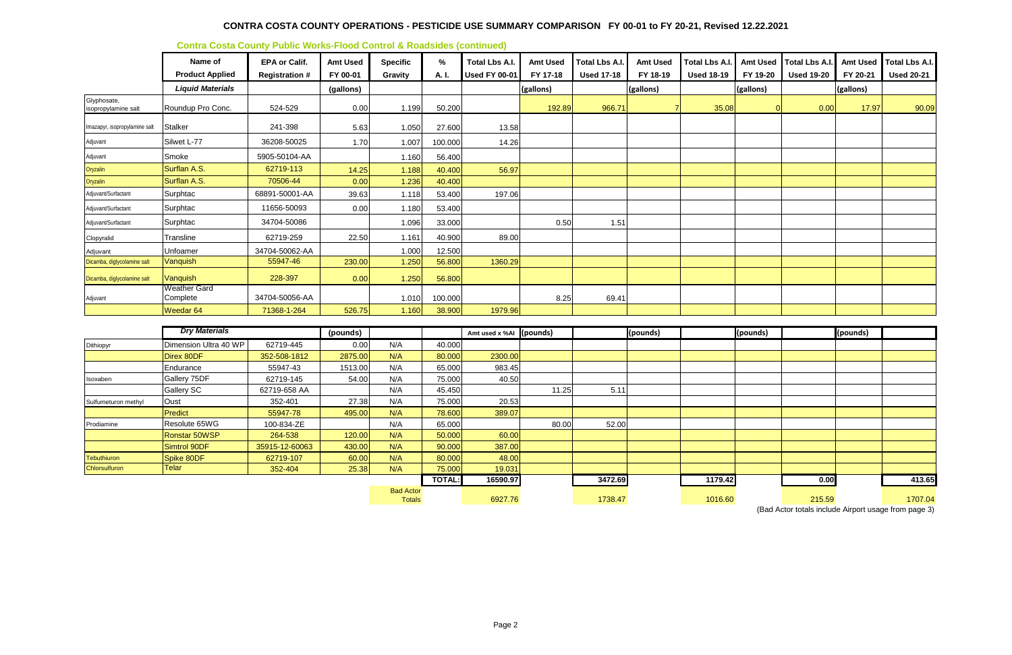|                                    | Name of<br><b>Product Applied</b> | <b>EPA or Calif.</b><br><b>Registration #</b> | <b>Amt Used</b><br>FY 00-01 | <b>Specific</b><br>Gravity | $\%$<br>A. I. | <b>Total Lbs A.I.</b><br><b>Used FY 00-01</b> | <b>Amt Used</b><br>FY 17-18 | <b>Total Lbs A.I.</b><br><b>Used 17-18</b> | <b>Amt Used</b><br>FY 18-19 | <b>Total Lbs A.I.</b><br><b>Used 18-19</b> | FY 19-20  | Amt Used   Total Lbs A.I.<br><b>Used 19-20</b> | <b>Amt Used</b><br>FY 20-21 | <b>Total Lbs A.I.</b><br><b>Used 20-21</b> |
|------------------------------------|-----------------------------------|-----------------------------------------------|-----------------------------|----------------------------|---------------|-----------------------------------------------|-----------------------------|--------------------------------------------|-----------------------------|--------------------------------------------|-----------|------------------------------------------------|-----------------------------|--------------------------------------------|
|                                    | <b>Liquid Materials</b>           |                                               | (gallons)                   |                            |               |                                               | (gallons)                   |                                            | (gallons)                   |                                            | (gallons) |                                                | (gallons)                   |                                            |
| Glyphosate,<br>isopropylamine salt | Roundup Pro Conc.                 | 524-529                                       | 0.00                        | 1.199                      | 50.200        |                                               | 192.89                      | 966.71                                     |                             | 35.08                                      |           | 0.00                                           | 17.97                       | 90.09                                      |
| Imazapyr, isopropylamine salt      | <b>Stalker</b>                    | 241-398                                       | 5.63                        | 1.050                      | 27.600        | 13.58                                         |                             |                                            |                             |                                            |           |                                                |                             |                                            |
| Adjuvant                           | Silwet L-77                       | 36208-50025                                   | 1.70                        | 1.007                      | 100.000       | 14.26                                         |                             |                                            |                             |                                            |           |                                                |                             |                                            |
| Adjuvant                           | Smoke                             | 5905-50104-AA                                 |                             | 1.160                      | 56.400        |                                               |                             |                                            |                             |                                            |           |                                                |                             |                                            |
| Oryzalin                           | Surflan A.S.                      | 62719-113                                     | 14.25                       | 1.188                      | 40.400        | 56.97                                         |                             |                                            |                             |                                            |           |                                                |                             |                                            |
| Oryzalin                           | Surflan A.S.                      | 70506-44                                      | 0.00                        | 1.236                      | 40.400        |                                               |                             |                                            |                             |                                            |           |                                                |                             |                                            |
| Adjuvant/Surfactant                | Surphtac                          | 68891-50001-AA                                | 39.63                       | 1.118                      | 53.400        | 197.06                                        |                             |                                            |                             |                                            |           |                                                |                             |                                            |
| Adjuvant/Surfactant                | Surphtac                          | 11656-50093                                   | 0.00                        | 1.180                      | 53.400        |                                               |                             |                                            |                             |                                            |           |                                                |                             |                                            |
| Adjuvant/Surfactant                | Surphtac                          | 34704-50086                                   |                             | 1.096                      | 33.000        |                                               | 0.50                        | 1.51                                       |                             |                                            |           |                                                |                             |                                            |
| Clopyralid                         | Transline                         | 62719-259                                     | 22.50                       | 1.161                      | 40.900        | 89.00                                         |                             |                                            |                             |                                            |           |                                                |                             |                                            |
| Adjuvant                           | Unfoamer                          | 34704-50062-AA                                |                             | 1.000                      | 12.500        |                                               |                             |                                            |                             |                                            |           |                                                |                             |                                            |
| Dicamba, diglycolamine salt        | Vanquish                          | 55947-46                                      | 230.00                      | 1.250                      | 56.800        | 1360.29                                       |                             |                                            |                             |                                            |           |                                                |                             |                                            |
| Dicamba, diglycolamine salt        | Vanquish                          | 228-397                                       | 0.00                        | 1.250                      | 56.800        |                                               |                             |                                            |                             |                                            |           |                                                |                             |                                            |
| Adjuvant                           | Weather Gard<br>Complete          | 34704-50056-AA                                |                             | 1.010                      | 100.000       |                                               | 8.25                        | 69.41                                      |                             |                                            |           |                                                |                             |                                            |
|                                    | Weedar <sub>64</sub>              | 71368-1-264                                   | 526.75                      | 1.160                      | 38.900        | 1979.96                                       |                             |                                            |                             |                                            |           |                                                |                             |                                            |

|                     | <b>Dry Materials</b>  |                | (pounds) |                                   |               | Amt used x %AI (pounds) |       |         | (pounds) |         | (pounds) |        | (pounds) |         |
|---------------------|-----------------------|----------------|----------|-----------------------------------|---------------|-------------------------|-------|---------|----------|---------|----------|--------|----------|---------|
| Dithiopyr           | Dimension Ultra 40 WP | 62719-445      | 0.00     | N/A                               | 40.000        |                         |       |         |          |         |          |        |          |         |
|                     | Direx 80DF            | 352-508-1812   | 2875.00  | N/A                               | 80.000        | 2300.00                 |       |         |          |         |          |        |          |         |
|                     | Endurance             | 55947-43       | 1513.00  | N/A                               | 65.000        | 983.45                  |       |         |          |         |          |        |          |         |
| Isoxaben            | Gallery 75DF          | 62719-145      | 54.00    | N/A                               | 75.000        | 40.50                   |       |         |          |         |          |        |          |         |
|                     | <b>Gallery SC</b>     | 62719-658 AA   |          | N/A                               | 45.450        |                         | 11.25 | 5.11    |          |         |          |        |          |         |
| Sulfumeturon methyl | Oust                  | 352-401        | 27.38    | N/A                               | 75.000        | 20.53                   |       |         |          |         |          |        |          |         |
|                     | Predict               | 55947-78       | 495.00   | N/A                               | 78.600        | 389.07                  |       |         |          |         |          |        |          |         |
| Prodiamine          | Resolute 65WG         | 100-834-ZE     |          | N/A                               | 65.000        |                         | 80.00 | 52.00   |          |         |          |        |          |         |
|                     | Ronstar 50WSP         | 264-538        | 120.00   | N/A                               | 50.000        | 60.00                   |       |         |          |         |          |        |          |         |
|                     | Simtrol 90DF          | 35915-12-60063 | 430.00   | N/A                               | 90.000        | 387.00                  |       |         |          |         |          |        |          |         |
| Tebuthiuron         | Spike 80DF            | 62719-107      | 60.00    | N/A                               | 80.000        | 48.00                   |       |         |          |         |          |        |          |         |
| Chlorsulfuron       | <b>Telar</b>          | 352-404        | 25.38    | N/A                               | 75.000        | 19.031                  |       |         |          |         |          |        |          |         |
|                     |                       |                |          |                                   | <b>TOTAL:</b> | 16590.97                |       | 3472.69 |          | 1179.42 |          | 0.00   |          | 413.65  |
|                     |                       |                |          | <b>Bad Actor</b><br><b>Totals</b> |               | 6927.76                 |       | 1738.47 |          | 1016.60 |          | 215.59 |          | 1707.04 |

(Bad Actor totals include Airport usage from page 3)

#### **Contra Costa County Public Works-Flood Control & Roadsides (continued)**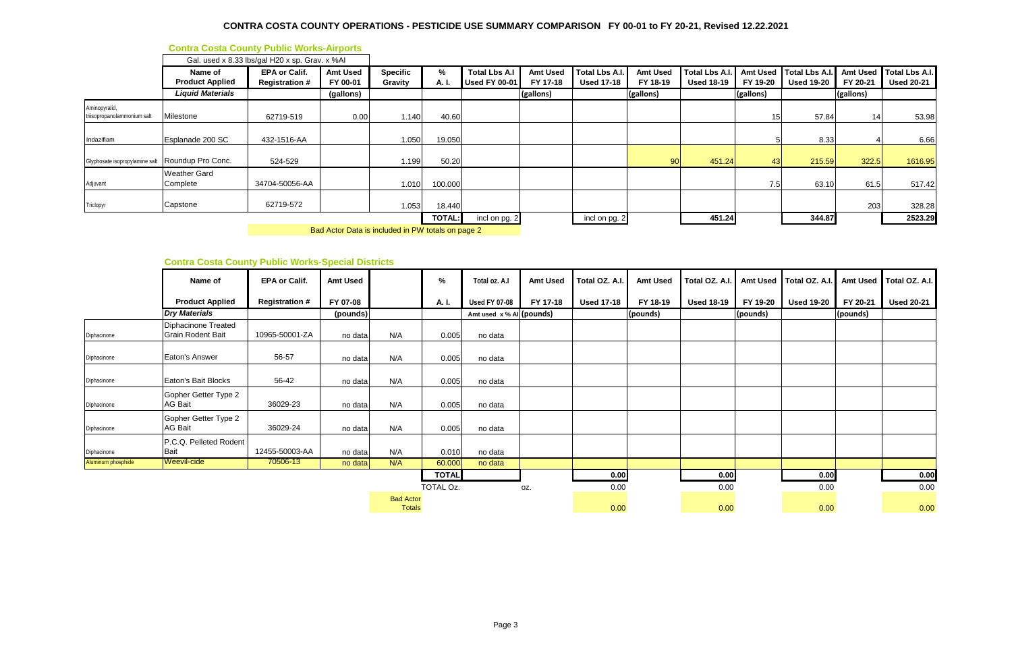# **Contra Costa County Public Works-Airports**

Bad Actor Data is included in PW totals on page 2

## **Contra Costa County Public Works-Special Districts**

|                                              |                                   | Gal. used x 8.33 lbs/gal H20 x sp. Grav. x %Al |                             |                            |               |                                              |                             |                                            |                             |                                     |           |                                                |           |                                                |
|----------------------------------------------|-----------------------------------|------------------------------------------------|-----------------------------|----------------------------|---------------|----------------------------------------------|-----------------------------|--------------------------------------------|-----------------------------|-------------------------------------|-----------|------------------------------------------------|-----------|------------------------------------------------|
|                                              | Name of<br><b>Product Applied</b> | <b>EPA or Calif.</b><br><b>Registration #</b>  | <b>Amt Used</b><br>FY 00-01 | <b>Specific</b><br>Gravity | %<br>A. I.    | <b>Total Lbs A.I</b><br><b>Used FY 00-01</b> | <b>Amt Used</b><br>FY 17-18 | <b>Total Lbs A.I.</b><br><b>Used 17-18</b> | <b>Amt Used</b><br>FY 18-19 | Total Lbs A.I.<br><b>Used 18-19</b> | FY 19-20  | Amt Used   Total Lbs A.I.<br><b>Used 19-20</b> | FY 20-21  | Amt Used   Total Lbs A.I.<br><b>Used 20-21</b> |
|                                              | <b>Liquid Materials</b>           |                                                | (gallons)                   |                            |               |                                              | (gallons)                   |                                            | (gallons)                   |                                     | (gallons) |                                                | (gallons) |                                                |
| Aminopyralid,<br>triisopropanolammonium salt | Milestone                         | 62719-519                                      | 0.00                        | 1.140                      | 40.60         |                                              |                             |                                            |                             |                                     |           | 57.84                                          | 14        | 53.98                                          |
| Indaziflam                                   | Esplanade 200 SC                  | 432-1516-AA                                    |                             | 1.050                      | 19.050        |                                              |                             |                                            |                             |                                     |           | 8.33                                           |           | 6.66                                           |
| Glyphosate isopropylamine salt               | Roundup Pro Conc.                 | 524-529                                        |                             | 1.199                      | 50.20         |                                              |                             |                                            | 90                          | 451.24                              | 43        | 215.59                                         | 322.5     | 1616.95                                        |
| Adjuvant                                     | <b>Weather Gard</b><br>Complete   | 34704-50056-AA                                 |                             | 1.010                      | 100.000       |                                              |                             |                                            |                             |                                     | 7.5       | 63.10                                          | 61.5      | 517.42                                         |
| Triclopyr                                    | Capstone                          | 62719-572                                      |                             | 1.053                      | 18.440        |                                              |                             |                                            |                             |                                     |           |                                                | 203       | 328.28                                         |
|                                              |                                   |                                                |                             |                            | <b>TOTAL:</b> | incl on pg. 2                                |                             | incl on pg. 2                              |                             | 451.24                              |           | 344.87                                         |           | 2523.29                                        |

|                    | Name of                                         | <b>EPA or Calif.</b>  | <b>Amt Used</b> |                                   | %            | Total oz. A.I              | <b>Amt Used</b> | Total OZ. A.I.    | <b>Amt Used</b> | Total OZ. A.I.    | Amt Used | Total OZ. A.I.    | <b>Amt Used</b> | Total OZ. A.I.    |
|--------------------|-------------------------------------------------|-----------------------|-----------------|-----------------------------------|--------------|----------------------------|-----------------|-------------------|-----------------|-------------------|----------|-------------------|-----------------|-------------------|
|                    | <b>Product Applied</b>                          | <b>Registration #</b> | FY 07-08        |                                   | A. I.        | <b>Used FY 07-08</b>       | FY 17-18        | <b>Used 17-18</b> | FY 18-19        | <b>Used 18-19</b> | FY 19-20 | <b>Used 19-20</b> | FY 20-21        | <b>Used 20-21</b> |
|                    | <b>Dry Materials</b>                            |                       | (pounds)        |                                   |              | Amt used $x %$ Al (pounds) |                 |                   | (pounds)        |                   | (pounds) |                   | (pounds)        |                   |
| Diphacinone        | Diphacinone Treated<br><b>Grain Rodent Bait</b> | 10965-50001-ZA        | no data         | N/A                               | 0.005        | no data                    |                 |                   |                 |                   |          |                   |                 |                   |
| Diphacinone        | Eaton's Answer                                  | 56-57                 | no data         | N/A                               | 0.005        | no data                    |                 |                   |                 |                   |          |                   |                 |                   |
| Diphacinone        | Eaton's Bait Blocks                             | 56-42                 | no data         | N/A                               | 0.005        | no data                    |                 |                   |                 |                   |          |                   |                 |                   |
| Diphacinone        | Gopher Getter Type 2<br><b>AG Bait</b>          | 36029-23              | no data         | N/A                               | 0.005        | no data                    |                 |                   |                 |                   |          |                   |                 |                   |
| Diphacinone        | Gopher Getter Type 2<br><b>AG Bait</b>          | 36029-24              | no data         | N/A                               | 0.005        | no data                    |                 |                   |                 |                   |          |                   |                 |                   |
| Diphacinone        | P.C.Q. Pelleted Rodent<br><b>Bait</b>           | 12455-50003-AA        | no data         | N/A                               | 0.010        | no data                    |                 |                   |                 |                   |          |                   |                 |                   |
| Aluminum phosphide | Weevil-cide                                     | 70506-13              | no data         | N/A                               | 60.000       | no data                    |                 |                   |                 |                   |          |                   |                 |                   |
|                    |                                                 |                       |                 |                                   | <b>TOTAL</b> |                            |                 | 0.00              |                 | 0.00              |          | 0.00              |                 | 0.00              |
|                    |                                                 |                       |                 |                                   | TOTAL Oz.    |                            | OZ.             | 0.00              |                 | 0.00              |          | 0.00              |                 | 0.00              |
|                    |                                                 |                       |                 | <b>Bad Actor</b><br><b>Totals</b> |              |                            |                 | 0.00              |                 | 0.00              |          | 0.00              |                 | 0.00              |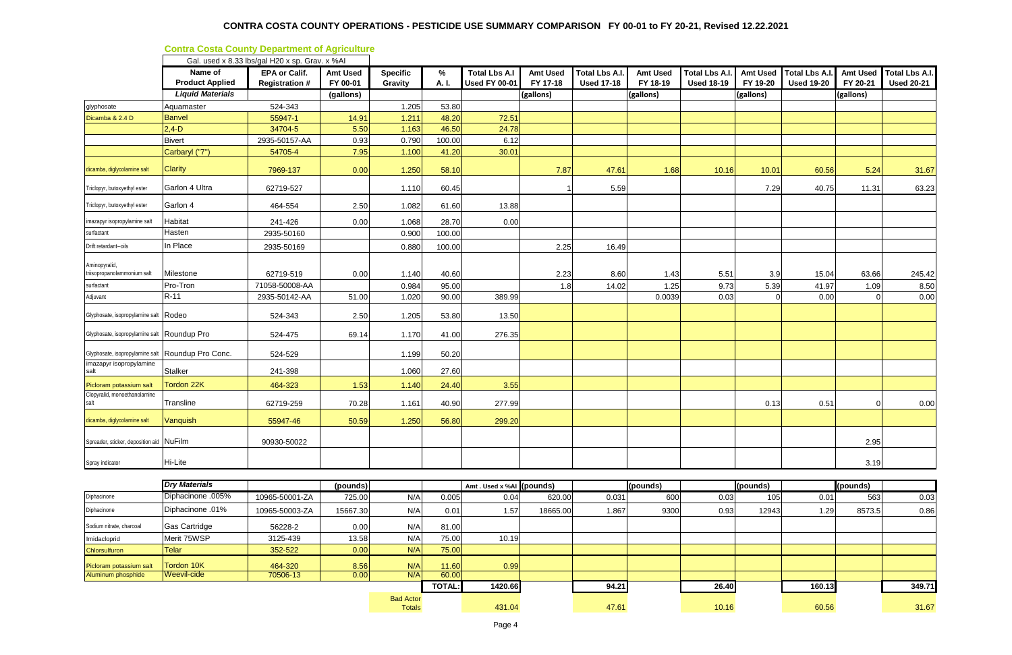|                                                   |                                   | Gal. used x 8.33 lbs/gal H20 x sp. Grav. x %Al |                             |                            |               |                                              |                             |                                     |                             |                                            |                             |                                            |                             |                                            |
|---------------------------------------------------|-----------------------------------|------------------------------------------------|-----------------------------|----------------------------|---------------|----------------------------------------------|-----------------------------|-------------------------------------|-----------------------------|--------------------------------------------|-----------------------------|--------------------------------------------|-----------------------------|--------------------------------------------|
|                                                   | Name of<br><b>Product Applied</b> | <b>EPA or Calif.</b><br><b>Registration #</b>  | <b>Amt Used</b><br>FY 00-01 | <b>Specific</b><br>Gravity | $\%$<br>A. I. | <b>Total Lbs A.I</b><br><b>Used FY 00-01</b> | <b>Amt Used</b><br>FY 17-18 | Total Lbs A.I.<br><b>Used 17-18</b> | <b>Amt Used</b><br>FY 18-19 | <b>Total Lbs A.I.</b><br><b>Used 18-19</b> | <b>Amt Used</b><br>FY 19-20 | <b>Total Lbs A.I.</b><br><b>Used 19-20</b> | <b>Amt Used</b><br>FY 20-21 | <b>Total Lbs A.I.</b><br><b>Used 20-21</b> |
|                                                   | <b>Liquid Materials</b>           |                                                | (gallons)                   |                            |               |                                              | (gallons)                   |                                     | (gallons)                   |                                            | (gallons)                   |                                            | (gallons)                   |                                            |
| glyphosate                                        | Aquamaster                        | 524-343                                        |                             | 1.205                      | 53.80         |                                              |                             |                                     |                             |                                            |                             |                                            |                             |                                            |
| Dicamba & 2.4 D                                   | <b>Banvel</b>                     | 55947-1                                        | 14.91                       | 1.211                      | 48.20         | 72.51                                        |                             |                                     |                             |                                            |                             |                                            |                             |                                            |
|                                                   | $2,4 - D$                         | 34704-5                                        | 5.50                        | 1.163                      | 46.50         | 24.78                                        |                             |                                     |                             |                                            |                             |                                            |                             |                                            |
|                                                   | <b>Bivert</b>                     | 2935-50157-AA                                  | 0.93                        | 0.790                      | 100.00        | 6.12                                         |                             |                                     |                             |                                            |                             |                                            |                             |                                            |
|                                                   | Carbaryl ("7")                    | 54705-4                                        | 7.95                        | 1.100                      | 41.20         | 30.01                                        |                             |                                     |                             |                                            |                             |                                            |                             |                                            |
| dicamba, diglycolamine salt                       | <b>Clarity</b>                    | 7969-137                                       | 0.00                        | 1.250                      | 58.10         |                                              | 7.87                        | 47.61                               | 1.68                        | 10.16                                      | 10.01                       | 60.56                                      | 5.24                        | 31.67                                      |
| Triclopyr, butoxyethyl ester                      | Garlon 4 Ultra                    | 62719-527                                      |                             | 1.110                      | 60.45         |                                              | -1                          | 5.59                                |                             |                                            | 7.29                        | 40.75                                      | 11.31                       | 63.23                                      |
| Triclopyr, butoxyethyl ester                      | Garlon 4                          | 464-554                                        | 2.50                        | 1.082                      | 61.60         | 13.88                                        |                             |                                     |                             |                                            |                             |                                            |                             |                                            |
| imazapyr isopropylamine salt                      | Habitat                           | 241-426                                        | 0.00                        | 1.068                      | 28.70         | 0.00                                         |                             |                                     |                             |                                            |                             |                                            |                             |                                            |
| surfactant                                        | Hasten                            | 2935-50160                                     |                             | 0.900                      | 100.00        |                                              |                             |                                     |                             |                                            |                             |                                            |                             |                                            |
| Drift retardant--oils                             | In Place                          | 2935-50169                                     |                             | 0.880                      | 100.00        |                                              | 2.25                        | 16.49                               |                             |                                            |                             |                                            |                             |                                            |
| Aminopyralid,<br>triisopropanolammonium salt      | Milestone                         | 62719-519                                      | 0.00                        | 1.140                      | 40.60         |                                              | 2.23                        | 8.60                                | 1.43                        | 5.51                                       | 3.9                         | 15.04                                      | 63.66                       | 245.42                                     |
| surfactant                                        | Pro-Tron                          | 71058-50008-AA                                 |                             | 0.984                      | 95.00         |                                              | 1.8                         | 14.02                               | 1.25                        | 9.73                                       | 5.39                        | 41.97                                      | 1.09                        | 8.50                                       |
| Adjuvant                                          | $R-11$                            | 2935-50142-AA                                  | 51.00                       | 1.020                      | 90.00         | 389.99                                       |                             |                                     | 0.0039                      | 0.03                                       |                             | 0.00                                       |                             | 0.00                                       |
| Glyphosate, isopropylamine salt Rodeo             |                                   | 524-343                                        | 2.50                        | 1.205                      | 53.80         | 13.50                                        |                             |                                     |                             |                                            |                             |                                            |                             |                                            |
| Glyphosate, isopropylamine salt Roundup Pro       |                                   | 524-475                                        | 69.14                       | 1.170                      | 41.00         | 276.35                                       |                             |                                     |                             |                                            |                             |                                            |                             |                                            |
| Glyphosate, isopropylamine salt Roundup Pro Conc. |                                   | 524-529                                        |                             | 1.199                      | 50.20         |                                              |                             |                                     |                             |                                            |                             |                                            |                             |                                            |
| imazapyr isopropylamine<br>salt                   | <b>Stalker</b>                    | 241-398                                        |                             | 1.060                      | 27.60         |                                              |                             |                                     |                             |                                            |                             |                                            |                             |                                            |
| Picloram potassium salt                           | Tordon 22K                        | 464-323                                        | 1.53                        | 1.140                      | 24.40         | 3.55                                         |                             |                                     |                             |                                            |                             |                                            |                             |                                            |
| Clopyralid, monoethanolamine<br>salt              | Transline                         | 62719-259                                      | 70.28                       | 1.161                      | 40.90         | 277.99                                       |                             |                                     |                             |                                            | 0.13                        | 0.51                                       |                             | 0.00                                       |
| dicamba, diglycolamine salt                       | Vanquish                          | 55947-46                                       | 50.59                       | 1.250                      | 56.80         | 299.20                                       |                             |                                     |                             |                                            |                             |                                            |                             |                                            |
| Spreader, sticker, deposition aid NuFilm          |                                   | 90930-50022                                    |                             |                            |               |                                              |                             |                                     |                             |                                            |                             |                                            | 2.95                        |                                            |
| Spray indicator                                   | Hi-Lite                           |                                                |                             |                            |               |                                              |                             |                                     |                             |                                            |                             |                                            | 3.19                        |                                            |

|                          | <b>Dry Materials</b> |                | (pounds) |                                   |               | Amt. Used x %AI (pounds) |          |       | (pounds) |       | (pounds) |        | (pounds) |        |
|--------------------------|----------------------|----------------|----------|-----------------------------------|---------------|--------------------------|----------|-------|----------|-------|----------|--------|----------|--------|
| Diphacinone              | Diphacinone .005%    | 10965-50001-ZA | 725.00   | N/A                               | 0.005         | 0.04                     | 620.00   | 0.031 | 600      | 0.03  | 105      | 0.01   | 563      | 0.03   |
| Diphacinone              | Diphacinone .01%     | 10965-50003-ZA | 15667.30 | N/A                               | 0.01          | 1.57                     | 18665.00 | 1.867 | 9300     | 0.93  | 12943    | 1.29   | 8573.5   | 0.86   |
| Sodium nitrate, charcoal | <b>Gas Cartridge</b> | 56228-2        | 0.00     | N/A                               | 81.00         |                          |          |       |          |       |          |        |          |        |
| Imidacloprid             | Merit 75WSP          | 3125-439       | 13.58    | N/A                               | 75.00         | 10.19                    |          |       |          |       |          |        |          |        |
| Chlorsulfuron            | Telar                | 352-522        | 0.00     | N/A                               | 75.00         |                          |          |       |          |       |          |        |          |        |
| Picloram potassium salt  | Tordon 10K           | 464-320        | 8.56     | N/A                               | 11.60         | 0.99                     |          |       |          |       |          |        |          |        |
| Aluminum phosphide       | <b>IWeevil-cide</b>  | 70506-13       | 0.00     | N/A                               | 60.00         |                          |          |       |          |       |          |        |          |        |
|                          |                      |                |          |                                   | <b>TOTAL:</b> | 1420.66                  |          | 94.21 |          | 26.40 |          | 160.13 |          | 349.71 |
|                          |                      |                |          | <b>Bad Actor</b><br><b>Totals</b> |               | 431.04                   |          | 47.61 |          | 10.16 |          | 60.56  |          | 31.67  |

## **Contra Costa County Department of Agriculture**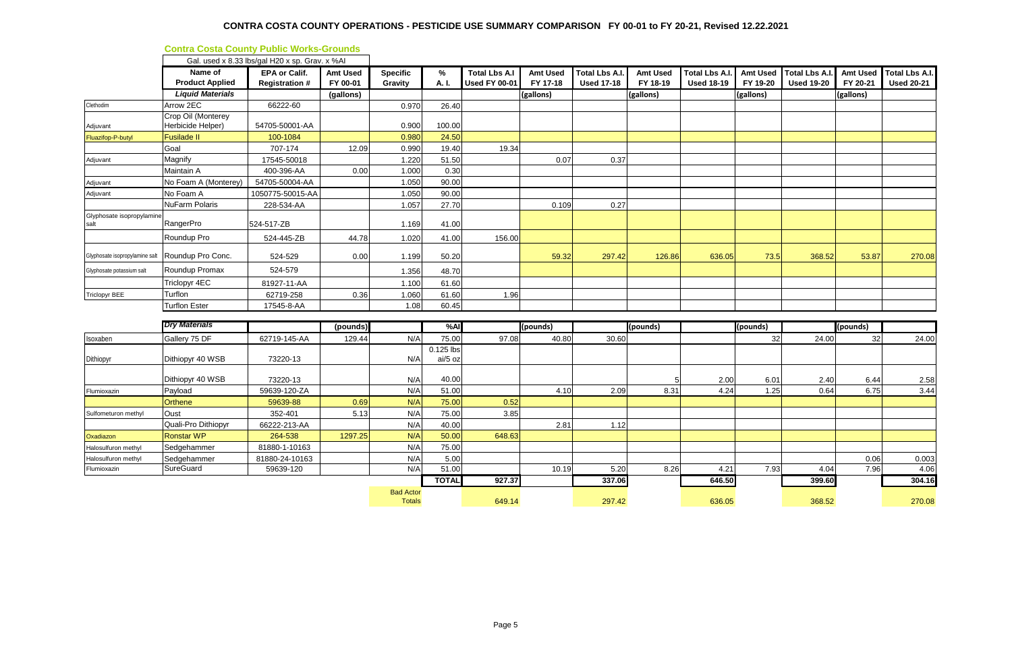|                                   |                                   | Gal. used x 8.33 lbs/gal H20 x sp. Grav. x %Al |                             |                                   |              |                                              |                             |                                            |                             |                                            |                             |                                            |                             |                                            |
|-----------------------------------|-----------------------------------|------------------------------------------------|-----------------------------|-----------------------------------|--------------|----------------------------------------------|-----------------------------|--------------------------------------------|-----------------------------|--------------------------------------------|-----------------------------|--------------------------------------------|-----------------------------|--------------------------------------------|
|                                   | Name of<br><b>Product Applied</b> | <b>EPA or Calif.</b><br><b>Registration#</b>   | <b>Amt Used</b><br>FY 00-01 | <b>Specific</b><br>Gravity        | %<br>A. I.   | <b>Total Lbs A.I</b><br><b>Used FY 00-01</b> | <b>Amt Used</b><br>FY 17-18 | <b>Total Lbs A.I.</b><br><b>Used 17-18</b> | <b>Amt Used</b><br>FY 18-19 | <b>Total Lbs A.I.</b><br><b>Used 18-19</b> | <b>Amt Used</b><br>FY 19-20 | <b>Total Lbs A.I.</b><br><b>Used 19-20</b> | <b>Amt Used</b><br>FY 20-21 | <b>Total Lbs A.I.</b><br><b>Used 20-21</b> |
|                                   | <b>Liquid Materials</b>           |                                                | (gallons)                   |                                   |              |                                              | (gallons)                   |                                            | (gallons)                   |                                            | (gallons)                   |                                            | (gallons)                   |                                            |
| Clethodim                         | Arrow 2EC                         | 66222-60                                       |                             | 0.970                             | 26.40        |                                              |                             |                                            |                             |                                            |                             |                                            |                             |                                            |
|                                   | Crop Oil (Monterey                |                                                |                             |                                   |              |                                              |                             |                                            |                             |                                            |                             |                                            |                             |                                            |
| Adjuvant                          | Herbicide Helper)                 | 54705-50001-AA                                 |                             | 0.900                             | 100.00       |                                              |                             |                                            |                             |                                            |                             |                                            |                             |                                            |
| Fluazifop-P-butyl                 | <b>Fusilade II</b>                | 100-1084                                       |                             | 0.980                             | 24.50        |                                              |                             |                                            |                             |                                            |                             |                                            |                             |                                            |
|                                   | Goal                              | 707-174                                        | 12.09                       | 0.990                             | 19.40        | 19.34                                        |                             |                                            |                             |                                            |                             |                                            |                             |                                            |
| Adjuvant                          | Magnify                           | 17545-50018                                    |                             | 1.220                             | 51.50        |                                              | 0.07                        | 0.37                                       |                             |                                            |                             |                                            |                             |                                            |
|                                   | Maintain A                        | 400-396-AA                                     | 0.00                        | 1.000                             | 0.30         |                                              |                             |                                            |                             |                                            |                             |                                            |                             |                                            |
| Adjuvant                          | No Foam A (Monterey)              | 54705-50004-AA                                 |                             | 1.050                             | 90.00        |                                              |                             |                                            |                             |                                            |                             |                                            |                             |                                            |
| Adjuvant                          | No Foam A                         | 1050775-50015-AA                               |                             | 1.050                             | 90.00        |                                              |                             |                                            |                             |                                            |                             |                                            |                             |                                            |
|                                   | NuFarm Polaris                    | 228-534-AA                                     |                             | 1.057                             | 27.70        |                                              | 0.109                       | 0.27                                       |                             |                                            |                             |                                            |                             |                                            |
| Glyphosate isopropylamine<br>salt | RangerPro                         | 524-517-ZB                                     |                             | 1.169                             | 41.00        |                                              |                             |                                            |                             |                                            |                             |                                            |                             |                                            |
|                                   | Roundup Pro                       | 524-445-ZB                                     | 44.78                       | 1.020                             | 41.00        | 156.00                                       |                             |                                            |                             |                                            |                             |                                            |                             |                                            |
| Glyphosate isopropylamine salt    | Roundup Pro Conc.                 | 524-529                                        | 0.00                        | 1.199                             | 50.20        |                                              | 59.32                       | 297.42                                     | 126.86                      | 636.05                                     | 73.5                        | 368.52                                     | 53.87                       | 270.08                                     |
| Glyphosate potassium salt         | Roundup Promax                    | 524-579                                        |                             | 1.356                             | 48.70        |                                              |                             |                                            |                             |                                            |                             |                                            |                             |                                            |
|                                   | Triclopyr 4EC                     | 81927-11-AA                                    |                             | 1.100                             | 61.60        |                                              |                             |                                            |                             |                                            |                             |                                            |                             |                                            |
| <b>Triclopyr BEE</b>              | Turflon                           | 62719-258                                      | 0.36                        | 1.060                             | 61.60        | 1.96                                         |                             |                                            |                             |                                            |                             |                                            |                             |                                            |
|                                   | <b>Turflon Ester</b>              | 17545-8-AA                                     |                             | 1.08                              | 60.45        |                                              |                             |                                            |                             |                                            |                             |                                            |                             |                                            |
|                                   |                                   |                                                |                             |                                   |              |                                              |                             |                                            |                             |                                            |                             |                                            |                             |                                            |
|                                   | <b>Dry Materials</b>              |                                                | (pounds)                    |                                   | %AI          |                                              | (pounds)                    |                                            | (pounds)                    |                                            | (pounds)                    |                                            | (pounds)                    |                                            |
| Isoxaben                          | Gallery 75 DF                     | 62719-145-AA                                   | 129.44                      | N/A                               | 75.00        | 97.08                                        | 40.80                       | 30.60                                      |                             |                                            | 32                          | 24.00                                      | 32                          | 24.00                                      |
|                                   |                                   |                                                |                             |                                   | 0.125 lbs    |                                              |                             |                                            |                             |                                            |                             |                                            |                             |                                            |
| Dithiopyr                         | Dithiopyr 40 WSB                  | 73220-13                                       |                             | N/A                               | ai/5 oz      |                                              |                             |                                            |                             |                                            |                             |                                            |                             |                                            |
|                                   | Dithiopyr 40 WSB                  | 73220-13                                       |                             | N/A                               | 40.00        |                                              |                             |                                            |                             | 2.00                                       | 6.01                        | 2.40                                       | 6.44                        | 2.58                                       |
| Flumioxazin                       | Payload                           | 59639-120-ZA                                   |                             | N/A                               | 51.00        |                                              | 4.10                        | 2.09                                       | 8.31                        | 4.24                                       | 1.25                        | 0.64                                       | 6.75                        | 3.44                                       |
|                                   | Orthene                           | 59639-88                                       | 0.69                        | N/A                               | 75.00        | 0.52                                         |                             |                                            |                             |                                            |                             |                                            |                             |                                            |
| Sulfometuron methyl               | Oust                              | 352-401                                        | 5.13                        | N/A                               | 75.00        | 3.85                                         |                             |                                            |                             |                                            |                             |                                            |                             |                                            |
|                                   | Quali-Pro Dithiopyr               | 66222-213-AA                                   |                             | N/A                               | 40.00        |                                              | 2.81                        | 1.12                                       |                             |                                            |                             |                                            |                             |                                            |
| Oxadiazon                         | <b>Ronstar WP</b>                 | 264-538                                        | 1297.25                     | N/A                               | 50.00        | 648.63                                       |                             |                                            |                             |                                            |                             |                                            |                             |                                            |
| Halosulfuron methyl               | Sedgehammer                       | 81880-1-10163                                  |                             | N/A                               | 75.00        |                                              |                             |                                            |                             |                                            |                             |                                            |                             |                                            |
| Halosulfuron methyl               | Sedgehammer                       | 81880-24-10163                                 |                             | N/A                               | 5.00         |                                              |                             |                                            |                             |                                            |                             |                                            | 0.06                        | 0.003                                      |
| Flumioxazin                       | SureGuard                         | 59639-120                                      |                             | N/A                               | 51.00        |                                              | 10.19                       | 5.20                                       | 8.26                        | 4.21                                       | 7.93                        | 4.04                                       | 7.96                        | 4.06                                       |
|                                   |                                   |                                                |                             |                                   | <b>TOTAL</b> | 927.37                                       |                             | 337.06                                     |                             | 646.50                                     |                             | 399.60                                     |                             | 304.16                                     |
|                                   |                                   |                                                |                             | <b>Bad Actor</b><br><b>Totals</b> |              | 649.14                                       |                             | 297.42                                     |                             | 636.05                                     |                             | 368.52                                     |                             | 270.08                                     |

#### **Contra Costa County Public Works-Grounds**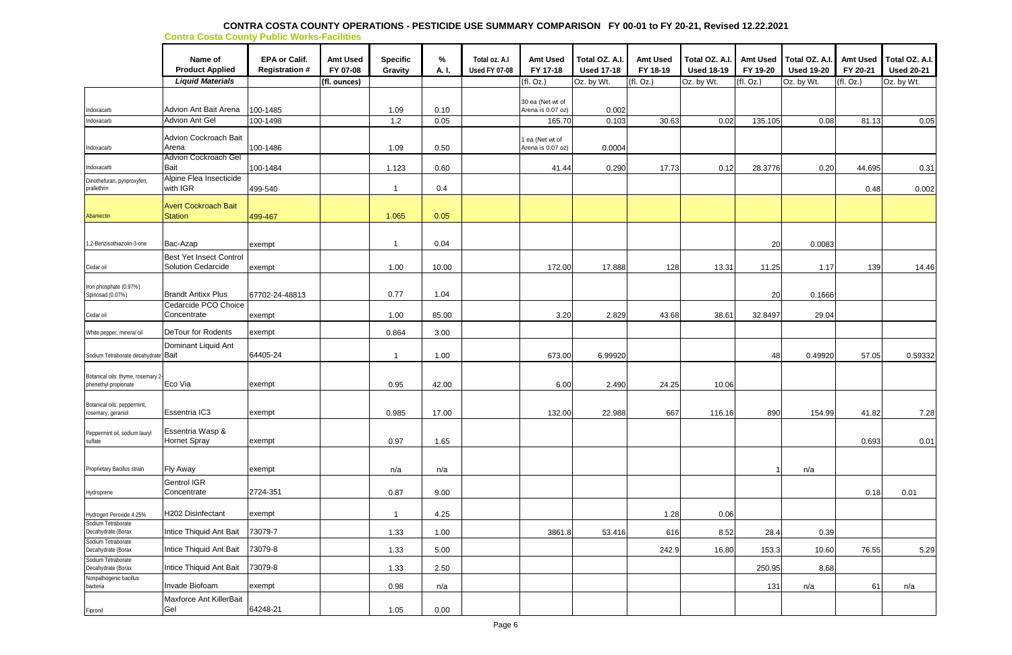#### **CONTRA COSTA COUNTY OPERATIONS - PESTICIDE USE SUMMARY COMPARISON FY 00-01 to FY 20-21, Revised 12.22.2021 Contra Costa County Public Works-Facilities**

|                                                            | Name of<br><b>Product Applied</b>                    | <b>EPA or Calif.</b><br><b>Registration #</b> | <b>Amt Used</b><br>FY 07-08 | <b>Specific</b><br>Gravity | $\%$<br>A. I. | Total oz. A.I<br><b>Used FY 07-08</b> | <b>Amt Used</b><br>FY 17-18           | Total OZ. A.I<br><b>Used 17-18</b> | <b>Amt Used</b><br>FY 18-19 | Total OZ. A.I.<br><b>Used 18-19</b> | <b>Amt Used</b><br>FY 19-20 | Total OZ. A.I.<br><b>Used 19-20</b> | <b>Amt Used</b><br>FY 20-21 | Total OZ. A.I.<br><b>Used 20-21</b> |
|------------------------------------------------------------|------------------------------------------------------|-----------------------------------------------|-----------------------------|----------------------------|---------------|---------------------------------------|---------------------------------------|------------------------------------|-----------------------------|-------------------------------------|-----------------------------|-------------------------------------|-----------------------------|-------------------------------------|
|                                                            | <b>Liquid Materials</b>                              |                                               | (fl. ounces)                |                            |               |                                       | (fl. Oz.)                             | Oz. by Wt.                         | (fl. Oz.)                   | Oz. by Wt.                          | (fI. Oz.)                   | Oz. by Wt.                          | (fl. Oz.)                   | Oz. by Wt.                          |
| Indoxacarb                                                 | Advion Ant Bait Arena                                | 100-1485                                      |                             | 1.09                       | 0.10          |                                       | 30 ea (Net wt of<br>Arena is 0.07 oz) | 0.002                              |                             |                                     |                             |                                     |                             |                                     |
| Indoxacarb                                                 | <b>Advion Ant Gel</b>                                | 100-1498                                      |                             | 1.2                        | 0.05          |                                       | 165.70                                | 0.103                              | 30.63                       | 0.02                                | 135.105                     | 0.08                                | 81.13                       | 0.05                                |
| Indoxacarb                                                 | <b>Advion Cockroach Bait</b><br>Arena                | 100-1486                                      |                             | 1.09                       | 0.50          |                                       | 1 ea (Net wt of<br>Arena is 0.07 oz)  | 0.0004                             |                             |                                     |                             |                                     |                             |                                     |
| Indoxacarb                                                 | <b>Advion Cockroach Gel</b><br>Bait                  | 100-1484                                      |                             | 1.123                      | 0.60          |                                       | 41.44                                 | 0.290                              | 17.73                       | 0.12                                | 28.3776                     | 0.20                                | 44.695                      | 0.31                                |
| Dinothefuran, pyriproxyfen,<br>prallethrin                 | Alpine Flea Insecticide<br>with IGR                  | 499-540                                       |                             |                            | 0.4           |                                       |                                       |                                    |                             |                                     |                             |                                     | 0.48                        | 0.002                               |
| Abamectin                                                  | <b>Avert Cockroach Bait</b><br><b>Station</b>        | 499-467                                       |                             | 1.065                      | 0.05          |                                       |                                       |                                    |                             |                                     |                             |                                     |                             |                                     |
| 1,2-Benzisothiazolin-3-one                                 | Bac-Azap                                             | exempt                                        |                             | - 1                        | 0.04          |                                       |                                       |                                    |                             |                                     | 20                          | 0.0083                              |                             |                                     |
| Cedar oil                                                  | <b>Best Yet Insect Control</b><br>Solution Cedarcide | exempt                                        |                             | 1.00                       | 10.00         |                                       | 172.00                                | 17.888                             | 128                         | 13.31                               | 11.25                       | 1.17                                | 139                         | 14.46                               |
| Iron phosphate (0.97%)<br>Spinosad (0.07%)                 | <b>Brandt Antixx Plus</b>                            | 67702-24-48813                                |                             | 0.77                       | 1.04          |                                       |                                       |                                    |                             |                                     | 20                          | 0.1666                              |                             |                                     |
| Cedar oil                                                  | Cedarcide PCO Choice<br>Concentrate                  | exempt                                        |                             | 1.00                       | 85.00         |                                       | 3.20                                  | 2.829                              | 43.68                       | 38.61                               | 32.8497                     | 29.04                               |                             |                                     |
| White pepper, mineral oil                                  | DeTour for Rodents                                   | exempt                                        |                             | 0.864                      | 3.00          |                                       |                                       |                                    |                             |                                     |                             |                                     |                             |                                     |
| Sodium Tetraborate decahydrate Bait                        | Dominant Liquid Ant                                  | 64405-24                                      |                             | -1                         | 1.00          |                                       | 673.00                                | 6.99920                            |                             |                                     | 48                          | 0.49920                             | 57.05                       | 0.59332                             |
| Botanical oils: thyme, rosemary 2-<br>phenethyl propionate | Eco Via                                              | exempt                                        |                             | 0.95                       | 42.00         |                                       | 6.00                                  | 2.490                              | 24.25                       | 10.06                               |                             |                                     |                             |                                     |
| Botanical oils: peppermint,<br>rosemary, geraniol          | Essentria IC3                                        | exempt                                        |                             | 0.985                      | 17.00         |                                       | 132.00                                | 22.988                             | 667                         | 116.16                              | 890                         | 154.99                              | 41.82                       | 7.28                                |
| Peppermint oil, sodium lauryl<br>sulfate                   | Essentria Wasp &<br>Hornet Spray                     | exempt                                        |                             | 0.97                       | 1.65          |                                       |                                       |                                    |                             |                                     |                             |                                     | 0.693                       | 0.01                                |
| Proprietary Bacillus strain                                | <b>Fly Away</b>                                      | exempt                                        |                             | n/a                        | n/a           |                                       |                                       |                                    |                             |                                     |                             | n/a                                 |                             |                                     |
| Hydroprene                                                 | Gentrol IGR<br>Concentrate                           | 2724-351                                      |                             | 0.87                       | 9.00          |                                       |                                       |                                    |                             |                                     |                             |                                     | 0.18                        | 0.01                                |
| Hydrogen Peroxide 4.25%                                    | H202 Disinfectant                                    | exempt                                        |                             | $\mathbf 1$                | 4.25          |                                       |                                       |                                    | 1.28                        | 0.06                                |                             |                                     |                             |                                     |
| Sodium Tetraborate<br>Decahydrate (Borax                   | Intice Thiquid Ant Bait                              | 73079-7                                       |                             | 1.33                       | 1.00          |                                       | 3861.8                                | 53.416                             | 616                         | 8.52                                | 28.4                        | 0.39                                |                             |                                     |
| Sodium Tetraborate<br>Decahydrate (Borax                   | Intice Thiquid Ant Bait                              | 73079-8                                       |                             | 1.33                       | 5.00          |                                       |                                       |                                    | 242.9                       | 16.80                               | 153.3                       | 10.60                               | 76.55                       | 5.29                                |
| Sodium Tetraborate<br>Decahydrate (Borax                   | Intice Thiquid Ant Bait                              | 73079-8                                       |                             | 1.33                       | 2.50          |                                       |                                       |                                    |                             |                                     | 250.95                      | 8.68                                |                             |                                     |
| Nonpathogenic bacillus<br>bacteria                         | Invade Biofoam                                       | exempt                                        |                             | 0.98                       | n/a           |                                       |                                       |                                    |                             |                                     | 131                         | n/a                                 | 61                          | n/a                                 |
| Fipronil                                                   | Maxforce Ant KillerBait<br>Gel                       | 64248-21                                      |                             | 1.05                       | 0.00          |                                       |                                       |                                    |                             |                                     |                             |                                     |                             |                                     |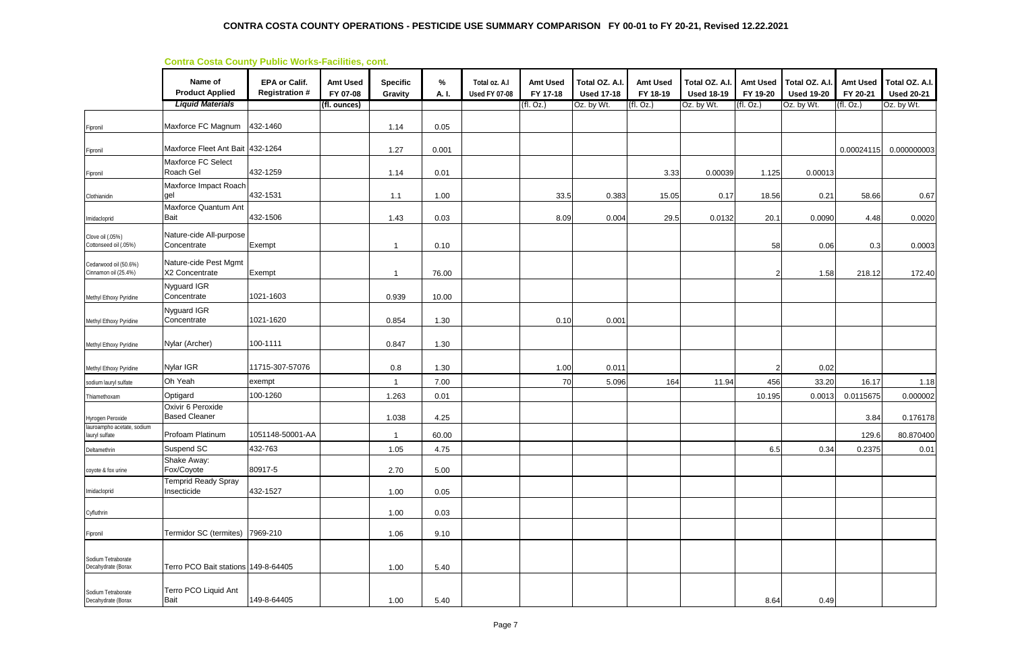#### **Contra Costa County Public Works-Facilities, cont.**

|                                               | <u> Contra Costa County Fublic Works-Facilities, Cont.</u> |                                               |                             |                            |               |                                       |                             |                                     |                             |                                     |                             |                                     |                             |                                     |
|-----------------------------------------------|------------------------------------------------------------|-----------------------------------------------|-----------------------------|----------------------------|---------------|---------------------------------------|-----------------------------|-------------------------------------|-----------------------------|-------------------------------------|-----------------------------|-------------------------------------|-----------------------------|-------------------------------------|
|                                               | Name of<br><b>Product Applied</b>                          | <b>EPA or Calif.</b><br><b>Registration #</b> | <b>Amt Used</b><br>FY 07-08 | <b>Specific</b><br>Gravity | $\%$<br>A. I. | Total oz. A.I<br><b>Used FY 07-08</b> | <b>Amt Used</b><br>FY 17-18 | Total OZ. A.I.<br><b>Used 17-18</b> | <b>Amt Used</b><br>FY 18-19 | Total OZ. A.I.<br><b>Used 18-19</b> | <b>Amt Used</b><br>FY 19-20 | Total OZ. A.I.<br><b>Used 19-20</b> | <b>Amt Used</b><br>FY 20-21 | Total OZ. A.I.<br><b>Used 20-21</b> |
|                                               | <b>Liquid Materials</b>                                    |                                               | (fl. ounces)                |                            |               |                                       | (fl. Oz.)                   | Oz. by Wt.                          | (fI. Oz.)                   | Oz. by Wt.                          | (fI. Oz.)                   | Oz. by Wt.                          | (fI. Oz.)                   | Oz. by Wt.                          |
| Fipronil                                      | Maxforce FC Magnum                                         | 432-1460                                      |                             | 1.14                       | 0.05          |                                       |                             |                                     |                             |                                     |                             |                                     |                             |                                     |
| Fipronil                                      | Maxforce Fleet Ant Bait 432-1264                           |                                               |                             | 1.27                       | 0.001         |                                       |                             |                                     |                             |                                     |                             |                                     | 0.00024115                  | 0.000000003                         |
| Fipronil                                      | Maxforce FC Select<br>Roach Gel                            | 432-1259                                      |                             | 1.14                       | 0.01          |                                       |                             |                                     | 3.33                        | 0.00039                             | 1.125                       | 0.00013                             |                             |                                     |
| Clothianidin                                  | Maxforce Impact Roach<br>gel                               | 432-1531                                      |                             | 1.1                        | 1.00          |                                       | 33.5                        | 0.383                               | 15.05                       | 0.17                                | 18.56                       | 0.21                                | 58.66                       | 0.67                                |
| Imidacloprid                                  | Maxforce Quantum Ant<br><b>Bait</b>                        | 432-1506                                      |                             | 1.43                       | 0.03          |                                       | 8.09                        | 0.004                               | 29.5                        | 0.0132                              | 20.1                        | 0.0090                              | 4.48                        | 0.0020                              |
| Clove oil (.05%)<br>Cottonseed oil (.05%)     | Nature-cide All-purpose<br>Concentrate                     | Exempt                                        |                             |                            | 0.10          |                                       |                             |                                     |                             |                                     | 58                          | 0.06                                | 0.3                         | 0.0003                              |
| Cedarwood oil (50.6%)<br>Cinnamon oil (25.4%) | Nature-cide Pest Mgmt<br>X2 Concentrate                    | Exempt                                        |                             |                            | 76.00         |                                       |                             |                                     |                             |                                     | 2                           | 1.58                                | 218.12                      | 172.40                              |
| Methyl Ethoxy Pyridine                        | Nyguard IGR<br>Concentrate                                 | 1021-1603                                     |                             | 0.939                      | 10.00         |                                       |                             |                                     |                             |                                     |                             |                                     |                             |                                     |
| Methyl Ethoxy Pyridine                        | Nyguard IGR<br>Concentrate                                 | 1021-1620                                     |                             | 0.854                      | 1.30          |                                       | 0.10                        | 0.001                               |                             |                                     |                             |                                     |                             |                                     |
| Methyl Ethoxy Pyridine                        | Nylar (Archer)                                             | 100-1111                                      |                             | 0.847                      | 1.30          |                                       |                             |                                     |                             |                                     |                             |                                     |                             |                                     |
| Methyl Ethoxy Pyridine                        | Nylar IGR                                                  | 11715-307-57076                               |                             | 0.8                        | 1.30          |                                       | 1.00                        | 0.011                               |                             |                                     |                             | 0.02                                |                             |                                     |
| sodium lauryl sulfate                         | Oh Yeah                                                    | exempt                                        |                             |                            | 7.00          |                                       | 70                          | 5.096                               | 164                         | 11.94                               | 456                         | 33.20                               | 16.17                       | 1.18                                |
| Thiamethoxam                                  | Optigard                                                   | 100-1260                                      |                             | 1.263                      | 0.01          |                                       |                             |                                     |                             |                                     | 10.195                      | 0.0013                              | 0.0115675                   | 0.000002                            |
| Hyrogen Peroxide                              | Oxivir 6 Peroxide<br><b>Based Cleaner</b>                  |                                               |                             | 1.038                      | 4.25          |                                       |                             |                                     |                             |                                     |                             |                                     | 3.84                        | 0.176178                            |
| lauroampho acetate, sodium                    | Profoam Platinum                                           | 1051148-50001-AA                              |                             |                            | 60.00         |                                       |                             |                                     |                             |                                     |                             |                                     | 129.6                       | 80.870400                           |
| lauryl sulfate<br>Deltamethrin                | Suspend SC                                                 | 432-763                                       |                             | 1.05                       | 4.75          |                                       |                             |                                     |                             |                                     | 6.5                         | 0.34                                | 0.2375                      | 0.01                                |
| coyote & fox urine                            | Shake Away:<br>Fox/Coyote                                  | 80917-5                                       |                             | 2.70                       | 5.00          |                                       |                             |                                     |                             |                                     |                             |                                     |                             |                                     |
| Imidacloprid                                  | <b>Temprid Ready Spray</b><br>Insecticide                  | 432-1527                                      |                             | 1.00                       | 0.05          |                                       |                             |                                     |                             |                                     |                             |                                     |                             |                                     |
| Cyfluthrin                                    |                                                            |                                               |                             | 1.00                       | 0.03          |                                       |                             |                                     |                             |                                     |                             |                                     |                             |                                     |
| Fipronil                                      | Termidor SC (termites) 7969-210                            |                                               |                             | 1.06                       | 9.10          |                                       |                             |                                     |                             |                                     |                             |                                     |                             |                                     |
| Sodium Tetraborate<br>Decahydrate (Borax      | Terro PCO Bait stations 149-8-64405                        |                                               |                             | 1.00                       | 5.40          |                                       |                             |                                     |                             |                                     |                             |                                     |                             |                                     |
| Sodium Tetraborate<br>Decahydrate (Borax      | Terro PCO Liquid Ant<br>Bait                               | 149-8-64405                                   |                             | 1.00                       | 5.40          |                                       |                             |                                     |                             |                                     | 8.64                        | 0.49                                |                             |                                     |